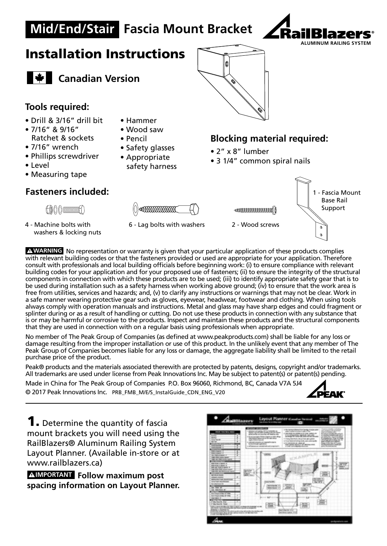# **Mid/End/Stair Fascia Mount Bracket**



## Installation Instructions



**Canadian Version** 

#### **Tools required:**

- Drill & 3/16" drill bit
- 7/16" & 9/16" Ratchet & sockets
- 7/16" wrench
- Phillips screwdriver
- Level
- Measuring tape

#### **Fasteners included:**

A000mmmA

4 - Machine bolts with washers & locking nuts

- Hammer
- Wood saw
- Pencil
- Safety glasses
- Appropriate safety harness
- 

### **Blocking material required:**

- 2" x 8" lumber
- 3 1/4" common spiral nails







6 - Lag bolts with washers 2 - Wood screws

A WARNING No representation or warranty is given that your particular application of these products complies with relevant building codes or that the fasteners provided or used are appropriate for your application. Therefore consult with professionals and local building officials before beginning work: (i) to ensure compliance with relevant **ADVERTENCIA** building codes for your application and for your proposed use of fasteners; (ii) to ensure the integrity of the structural components in connection with which these products are to be used; (iii) to identify appropriate safety gear that is to be used during installation such as a safety harness when working above ground; (iv) to ensure that the work area is free from utilities, services and hazards; and, (v) to clarify any instructions or warnings that may not be clear. Work in a safe manner wearing protective gear such as gloves, eyewear, headwear, footwear and clothing. When using tools always comply with operation manuals and instructions. Metal and glass may have sharp edges and could fragment or splinter during or as a result of handling or cutting. Do not use these products in connection with any substance that is or may be harmful or corrosive to the products. Inspect and maintain these products and the structural components that they are used in connection with on a regular basis using professionals when appropriate.

No member of The Peak Group of Companies (as defined at www.peakproducts.com) shall be liable for any loss or damage resulting from the improper installation or use of this product. In the unlikely event that any member of The Peak Group of Companies becomes liable for any loss or damage, the aggregate liability shall be limited to the retail purchase price of the product.

Peak® products and the materials associated therewith are protected by patents, designs, copyright and/or trademarks. All trademarks are used under license from Peak Innovations Inc. May be subject to patent(s) or patent(s) pending.

Made in China for The Peak Group of Companies P.O. Box 96060, Richmond, BC, Canada V7A 5J4

© 2017 Peak Innovations Inc. PRB\_FMB\_M/E/S\_InstalGuide\_CDN\_ENG\_V20



**1.** Determine the quantity of fascia mount brackets you will need using the RailBlazers® Aluminum Railing System Layout Planner. (Available in-store or at www.railblazers.ca)

**AIMPORTANT** Follow maximum post **spacing information on Layout Planner. IMPORTANTE**

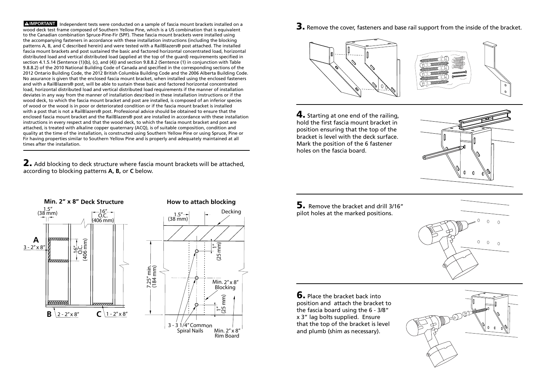**ALMPORTANT** Independent tests were conducted on a sample of fascia mount brackets installed on a wood deck test frame composed of Southern Yellow Pine, which is a US combination that is equivalent to the Canadian combination Spruce-Pine-Fir (SPF). These fascia mount brackets were installed using the accompanying fasteners in accordance with these installation instructions (including the blocking patterns A, B, and C described herein) and were tested with a RailBlazers® post attached. The installed fascia mount brackets and post sustained the basic and factored horizontal concentrated load, horizontal distributed load and vertical distributed load (applied at the top of the guard) requirements specified in section 4.1.5.14 (Sentence (1)(b), (c), and (4)) and section 9.8.8.2 (Sentence (1) in conjunction with Table 9.8.8.2) of the 2010 National Building Code of Canada and specified in the corresponding sections of the 2012 Ontario Building Code, the 2012 British Columbia Building Code and the 2006 Alberta Building Code. No assurance is given that the enclosed fascia mount bracket, when installed using the enclosed fasteners and with a RailBlazers® post, will be able to sustain these basic and factored horizontal concentrated load, horizontal distributed load and vertical distributed load requirements if the manner of installation deviates in any way from the manner of installation described in these installation instructions or if the wood deck, to which the fascia mount bracket and post are installed, is composed of an inferior species of wood or the wood is in poor or deteriorated condition or if the fascia mount bracket is installed with a post that is not a RailBlazers® post. Professional advice should be obtained to ensure that the enclosed fascia mount bracket and the RailBlazers® post are installed in accordance with these installation instructions in every respect and that the wood deck, to which the fascia mount bracket and post are attached, is treated with alkaline copper quaternary (ACQ), is of suitable composition, condition and quality at the time of the installation, is constructed using Southern Yellow Pine or using Spruce, Pine or Fir having properties similar to Southern Yellow Pine and is properly and adequately maintained at all times after the installation.

2. Add blocking to deck structure where fascia mount brackets will be attached, according to blocking patterns **A, B,** or **C** below.





ans Min. 2 x 8<br>Rim Board Rim Board

3. Remove the cover, fasteners and base rail support from the inside of the bracket.



4. Starting at one end of the railing, hold the first fascia mount bracket in position ensuring that the top of the bracket is level with the deck surface. Mark the position of the 6 fastener holes on the fascia board.



5. Remove the bracket and drill 3/16" pilot holes at the marked positions.



**6.** Place the bracket back into position and attach the bracket to the fascia board using the 6 - 3/8" x 3" lag bolts supplied. Ensure that the top of the bracket is level and plumb (shim as necessary).